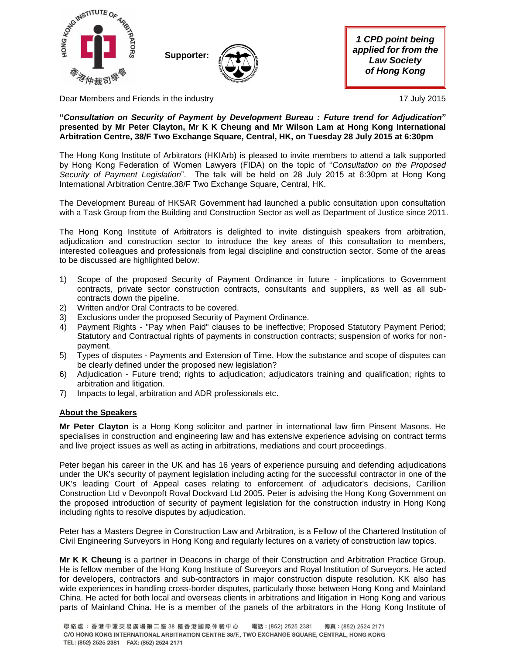

Dear Members and Friends in the industry 17 July 2015

## **"***Consultation on Security of Payment by Development Bureau : Future trend for Adjudication***" presented by Mr Peter Clayton, Mr K K Cheung and Mr Wilson Lam at Hong Kong International Arbitration Centre, 38/F Two Exchange Square, Central, HK, on Tuesday 28 July 2015 at 6:30pm**

The Hong Kong Institute of Arbitrators (HKIArb) is pleased to invite members to attend a talk supported by Hong Kong Federation of Women Lawyers (FIDA) on the topic of "*Consultation on the Proposed Security of Payment Legislation*". The talk will be held on 28 July 2015 at 6:30pm at Hong Kong International Arbitration Centre,38/F Two Exchange Square, Central, HK.

The Development Bureau of HKSAR Government had launched a public consultation upon consultation with a Task Group from the Building and Construction Sector as well as Department of Justice since 2011.

The Hong Kong Institute of Arbitrators is delighted to invite distinguish speakers from arbitration, adjudication and construction sector to introduce the key areas of this consultation to members, interested colleagues and professionals from legal discipline and construction sector. Some of the areas to be discussed are highlighted below:

- 1) Scope of the proposed Security of Payment Ordinance in future implications to Government contracts, private sector construction contracts, consultants and suppliers, as well as all subcontracts down the pipeline.
- 2) Written and/or Oral Contracts to be covered.
- 3) Exclusions under the proposed Security of Payment Ordinance.
- 4) Payment Rights "Pay when Paid" clauses to be ineffective; Proposed Statutory Payment Period; Statutory and Contractual rights of payments in construction contracts; suspension of works for nonpayment.
- 5) Types of disputes Payments and Extension of Time. How the substance and scope of disputes can be clearly defined under the proposed new legislation?
- 6) Adjudication Future trend; rights to adjudication; adjudicators training and qualification; rights to arbitration and litigation.
- 7) Impacts to legal, arbitration and ADR professionals etc.

## **About the Speakers**

**Mr Peter Clayton** is a Hong Kong solicitor and partner in international law firm Pinsent Masons. He specialises in construction and engineering law and has extensive experience advising on contract terms and live project issues as well as acting in arbitrations, mediations and court proceedings.

Peter began his career in the UK and has 16 years of experience pursuing and defending adjudications under the UK's security of payment legislation including acting for the successful contractor in one of the UK's leading Court of Appeal cases relating to enforcement of adjudicator's decisions, Carillion Construction Ltd v Devonpoft Roval Dockvard Ltd 2005. Peter is advising the Hong Kong Government on the proposed introduction of security of payment legislation for the construction industry in Hong Kong including rights to resolve disputes by adjudication.

Peter has a Masters Degree in Construction Law and Arbitration, is a Fellow of the Chartered lnstitution of Civil Engineering Surveyors in Hong Kong and regularly lectures on a variety of construction law topics.

**Mr K K Cheung** is a partner in Deacons in charge of their Construction and Arbitration Practice Group. He is fellow member of the Hong Kong Institute of Surveyors and Royal Institution of Surveyors. He acted for developers, contractors and sub-contractors in major construction dispute resolution. KK also has wide experiences in handling cross-border disputes, particularly those between Hong Kong and Mainland China. He acted for both local and overseas clients in arbitrations and litigation in Hong Kong and various parts of Mainland China. He is a member of the panels of the arbitrators in the Hong Kong Institute of